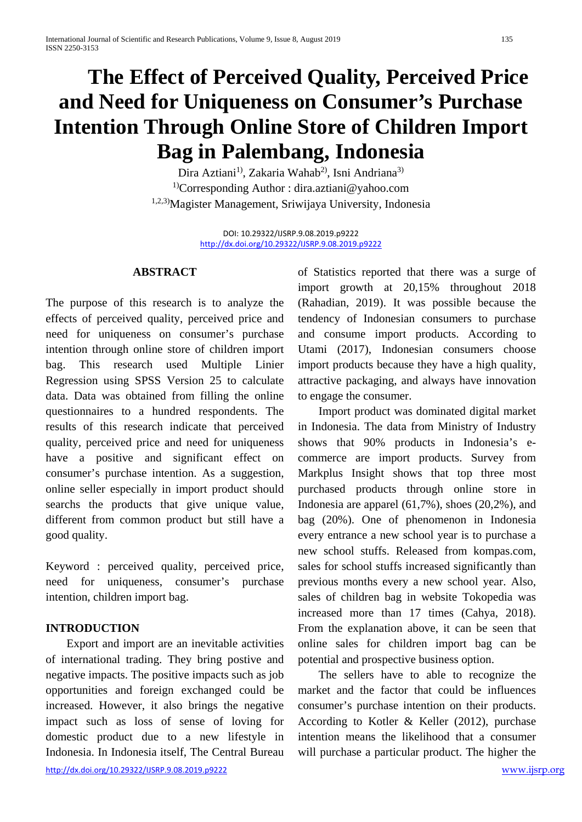# **The Effect of Perceived Quality, Perceived Price and Need for Uniqueness on Consumer's Purchase Intention Through Online Store of Children Import Bag in Palembang, Indonesia**

Dira Aztiani<sup>1)</sup>, Zakaria Wahab<sup>2)</sup>, Isni Andriana<sup>3)</sup> 1)Corresponding Author : [dira.aztiani@yahoo.com](mailto:dira.aztiani@yahoo.com) 1,2,3)Magister Management, Sriwijaya University, Indonesia

> DOI: 10.29322/IJSRP.9.08.2019.p9222 <http://dx.doi.org/10.29322/IJSRP.9.08.2019.p9222>

#### **ABSTRACT**

The purpose of this research is to analyze the effects of perceived quality, perceived price and need for uniqueness on consumer's purchase intention through online store of children import bag. This research used Multiple Linier Regression using SPSS Version 25 to calculate data. Data was obtained from filling the online questionnaires to a hundred respondents. The results of this research indicate that perceived quality, perceived price and need for uniqueness have a positive and significant effect on consumer's purchase intention. As a suggestion, online seller especially in import product should searchs the products that give unique value, different from common product but still have a good quality.

Keyword : perceived quality, perceived price, need for uniqueness, consumer's purchase intention, children import bag.

## **INTRODUCTION**

<http://dx.doi.org/10.29322/IJSRP.9.08.2019.p9222> [www.ijsrp.org](http://ijsrp.org/) Export and import are an inevitable activities of international trading. They bring postive and negative impacts. The positive impacts such as job opportunities and foreign exchanged could be increased. However, it also brings the negative impact such as loss of sense of loving for domestic product due to a new lifestyle in Indonesia. In Indonesia itself, The Central Bureau

of Statistics reported that there was a surge of import growth at 20,15% throughout 2018 (Rahadian, 2019). It was possible because the tendency of Indonesian consumers to purchase and consume import products. According to Utami (2017), Indonesian consumers choose import products because they have a high quality, attractive packaging, and always have innovation to engage the consumer.

Import product was dominated digital market in Indonesia. The data from Ministry of Industry shows that 90% products in Indonesia's ecommerce are import products. Survey from Markplus Insight shows that top three most purchased products through online store in Indonesia are apparel (61,7%), shoes (20,2%), and bag (20%). One of phenomenon in Indonesia every entrance a new school year is to purchase a new school stuffs. Released from kompas.com, sales for school stuffs increased significantly than previous months every a new school year. Also, sales of children bag in website Tokopedia was increased more than 17 times (Cahya, 2018). From the explanation above, it can be seen that online sales for children import bag can be potential and prospective business option.

The sellers have to able to recognize the market and the factor that could be influences consumer's purchase intention on their products. According to Kotler & Keller (2012), purchase intention means the likelihood that a consumer will purchase a particular product. The higher the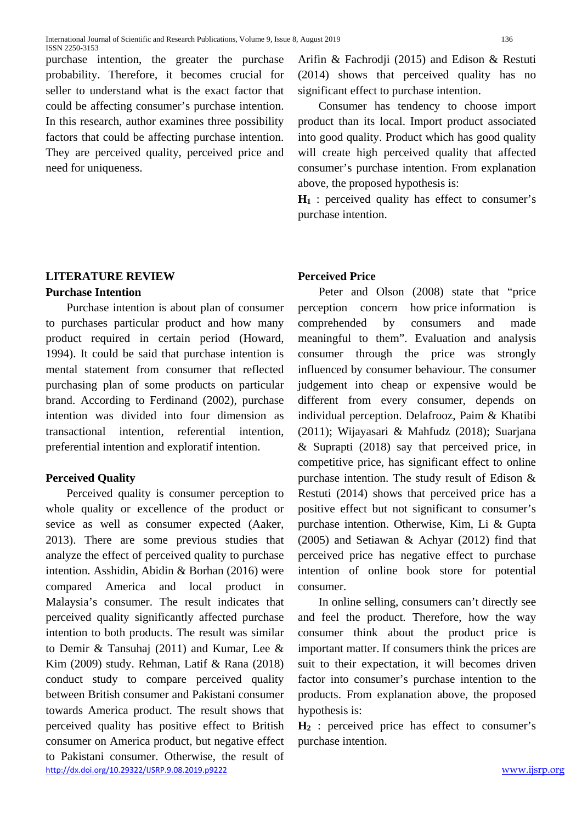purchase intention, the greater the purchase probability. Therefore, it becomes crucial for seller to understand what is the exact factor that could be affecting consumer's purchase intention. In this research, author examines three possibility factors that could be affecting purchase intention. They are perceived quality, perceived price and need for uniqueness.

# **LITERATURE REVIEW**

## **Purchase Intention**

Purchase intention is about plan of consumer to purchases particular product and how many product required in certain period (Howard, 1994). It could be said that purchase intention is mental statement from consumer that reflected purchasing plan of some products on particular brand. According to Ferdinand (2002), purchase intention was divided into four dimension as transactional intention, referential intention, preferential intention and exploratif intention.

## **Perceived Quality**

<http://dx.doi.org/10.29322/IJSRP.9.08.2019.p9222> [www.ijsrp.org](http://ijsrp.org/) Perceived quality is consumer perception to whole quality or excellence of the product or sevice as well as consumer expected (Aaker, 2013). There are some previous studies that analyze the effect of perceived quality to purchase intention. Asshidin, Abidin & Borhan (2016) were compared America and local product in Malaysia's consumer. The result indicates that perceived quality significantly affected purchase intention to both products. The result was similar to Demir & Tansuhaj (2011) and Kumar, Lee & Kim (2009) study. Rehman, Latif & Rana (2018) conduct study to compare perceived quality between British consumer and Pakistani consumer towards America product. The result shows that perceived quality has positive effect to British consumer on America product, but negative effect to Pakistani consumer. Otherwise, the result of

Arifin & Fachrodji (2015) and Edison & Restuti (2014) shows that perceived quality has no significant effect to purchase intention.

Consumer has tendency to choose import product than its local. Import product associated into good quality. Product which has good quality will create high perceived quality that affected consumer's purchase intention. From explanation above, the proposed hypothesis is:

**H<sub>1</sub>** : perceived quality has effect to consumer's purchase intention.

# **Perceived Price**

Peter and Olson (2008) state that "price perception concern how price information is comprehended by consumers and made meaningful to them". Evaluation and analysis consumer through the price was strongly influenced by consumer behaviour. The consumer judgement into cheap or expensive would be different from every consumer, depends on individual perception. Delafrooz, Paim & Khatibi (2011); Wijayasari & Mahfudz (2018); Suarjana & Suprapti (2018) say that perceived price, in competitive price, has significant effect to online purchase intention. The study result of Edison & Restuti (2014) shows that perceived price has a positive effect but not significant to consumer's purchase intention. Otherwise, Kim, Li & Gupta (2005) and Setiawan & Achyar (2012) find that perceived price has negative effect to purchase intention of online book store for potential consumer.

In online selling, consumers can't directly see and feel the product. Therefore, how the way consumer think about the product price is important matter. If consumers think the prices are suit to their expectation, it will becomes driven factor into consumer's purchase intention to the products. From explanation above, the proposed hypothesis is:

**H2** : perceived price has effect to consumer's purchase intention.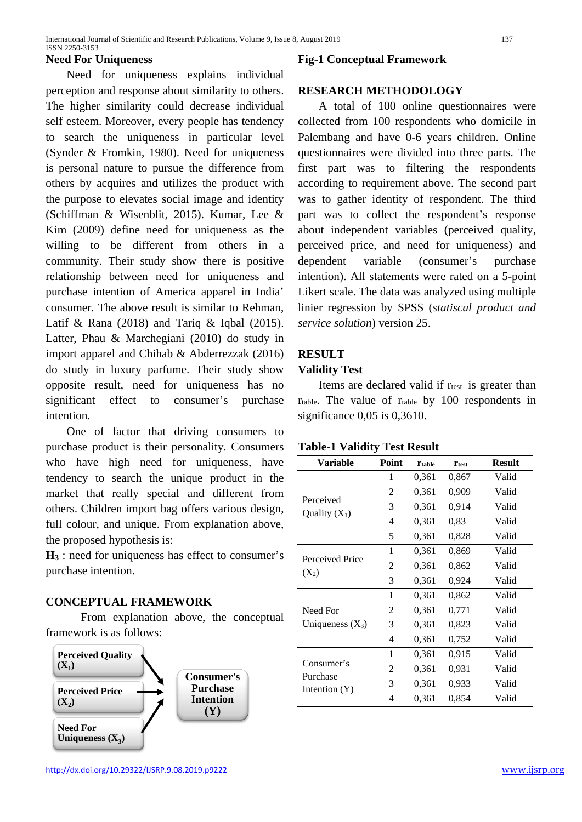#### **Need For Uniqueness**

Need for uniqueness explains individual perception and response about similarity to others. The higher similarity could decrease individual self esteem. Moreover, every people has tendency to search the uniqueness in particular level (Synder & Fromkin, 1980). Need for uniqueness is personal nature to pursue the difference from others by acquires and utilizes the product with the purpose to elevates social image and identity (Schiffman & Wisenblit, 2015). Kumar, Lee & Kim (2009) define need for uniqueness as the willing to be different from others in a community. Their study show there is positive relationship between need for uniqueness and purchase intention of America apparel in India' consumer. The above result is similar to Rehman, Latif & Rana  $(2018)$  and Tariq & Iqbal  $(2015)$ . Latter, Phau & Marchegiani (2010) do study in import apparel and Chihab & Abderrezzak (2016) do study in luxury parfume. Their study show opposite result, need for uniqueness has no significant effect to consumer's purchase intention.

One of factor that driving consumers to purchase product is their personality. Consumers who have high need for uniqueness, have tendency to search the unique product in the market that really special and different from others. Children import bag offers various design, full colour, and unique. From explanation above, the proposed hypothesis is:

**H<sub>3</sub>** : need for uniqueness has effect to consumer's purchase intention.

#### **CONCEPTUAL FRAMEWORK**

From explanation above, the conceptual framework is as follows:



## **Fig-1 Conceptual Framework**

#### **RESEARCH METHODOLOGY**

A total of 100 online questionnaires were collected from 100 respondents who domicile in Palembang and have 0-6 years children. Online questionnaires were divided into three parts. The first part was to filtering the respondents according to requirement above. The second part was to gather identity of respondent. The third part was to collect the respondent's response about independent variables (perceived quality, perceived price, and need for uniqueness) and dependent variable (consumer's purchase intention). All statements were rated on a 5-point Likert scale. The data was analyzed using multiple linier regression by SPSS (*statiscal product and service solution*) version 25.

## **RESULT**

#### **Validity Test**

Items are declared valid if r<sub>test</sub> is greater than rtable. The value of rtable by 100 respondents in significance 0,05 is 0,3610.

#### **Table-1 Validity Test Result**

| <b>Variable</b>              | Point | <b>Ttable</b> | <b>Ttest</b> | <b>Result</b> |
|------------------------------|-------|---------------|--------------|---------------|
|                              | 1     | 0,361         | 0,867        | Valid         |
|                              | 2     | 0,361         | 0,909        | Valid         |
| Perceived<br>Quality $(X_1)$ | 3     | 0,361         | 0,914        | Valid         |
|                              | 4     | 0,361         | 0.83         | Valid         |
|                              | 5     | 0,361         | 0,828        | Valid         |
|                              | 1     | 0,361         | 0,869        | Valid         |
| Perceived Price<br>$(X_2)$   | 2     | 0,361         | 0,862        | Valid         |
|                              | 3     | 0,361         | 0,924        | Valid         |
|                              | 1     | 0,361         | 0,862        | Valid         |
| Need For                     | 2     | 0,361         | 0,771        | Valid         |
| Uniqueness $(X_3)$           | 3     | 0,361         | 0,823        | Valid         |
|                              | 4     | 0,361         | 0,752        | Valid         |
|                              | 1     | 0,361         | 0.915        | Valid         |
| Consumer's                   | 2     | 0,361         | 0,931        | Valid         |
| Purchase<br>Intention $(Y)$  | 3     | 0,361         | 0,933        | Valid         |
|                              | 4     | 0,361         | 0,854        | Valid         |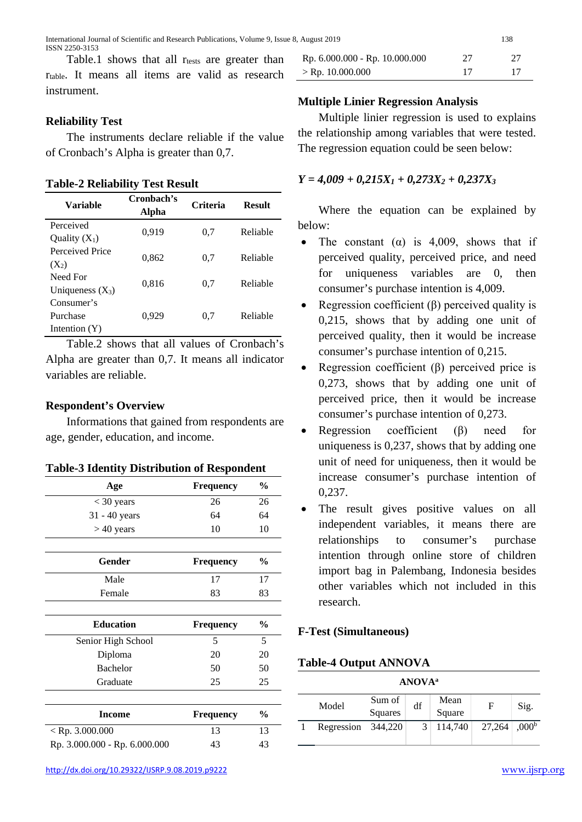Table.1 shows that all rests are greater than rtable. It means all items are valid as research instrument.

## **Reliability Test**

The instruments declare reliable if the value of Cronbach's Alpha is greater than 0,7.

**Table-2 Reliability Test Result**

| Variable           | Cronbach's<br>Alpha | <b>Criteria</b> | <b>Result</b> |  |
|--------------------|---------------------|-----------------|---------------|--|
| Perceived          | 0,919               | 0.7             | Reliable      |  |
| Quality $(X_1)$    |                     |                 |               |  |
| Perceived Price    | 0,862               | 0.7             | Reliable      |  |
| $(X_2)$            |                     |                 |               |  |
| Need For           |                     |                 | Reliable      |  |
| Uniqueness $(X_3)$ | 0,816               | 0.7             |               |  |
| Consumer's         |                     |                 |               |  |
| Purchase           | 0,929               | 0.7             | Reliable      |  |
| Intention $(Y)$    |                     |                 |               |  |

Table.2 shows that all values of Cronbach's Alpha are greater than 0,7. It means all indicator variables are reliable.

## **Respondent's Overview**

Informations that gained from respondents are age, gender, education, and income.

| Age                           | <b>Frequency</b> | $\frac{0}{0}$ |
|-------------------------------|------------------|---------------|
| $<$ 30 years                  | 26               | 26            |
| 31 - 40 years                 | 64               | 64            |
| $>40$ years                   | 10               | 10            |
| Gender                        | <b>Frequency</b> | $\frac{0}{0}$ |
| Male                          | 17               | 17            |
| Female                        | 83               | 83            |
| <b>Education</b>              | <b>Frequency</b> | $\frac{1}{2}$ |
| Senior High School            | 5                | 5             |
| Diploma                       | 20               | 20            |
| <b>Bachelor</b>               | 50               | 50            |
| Graduate                      | 25               | 25            |
| <b>Income</b>                 | <b>Frequency</b> | $\frac{1}{2}$ |
| $<$ Rp. 3.000.000             | 13               | 13            |
| Rp. 3.000.000 - Rp. 6.000.000 | 43               | 43            |

| Rp. 6.000.000 - Rp. 10.000.000 | 27 | -27 |
|--------------------------------|----|-----|
| $>$ Rp. 10.000.000             |    |     |

## **Multiple Linier Regression Analysis**

Multiple linier regression is used to explains the relationship among variables that were tested. The regression equation could be seen below:

## *Y = 4,009 + 0,215X1 + 0,273X2 + 0,237X3*

Where the equation can be explained by below:

- The constant ( $\alpha$ ) is 4,009, shows that if perceived quality, perceived price, and need for uniqueness variables are 0, then consumer's purchase intention is 4,009.
- Regression coefficient  $(\beta)$  perceived quality is 0,215, shows that by adding one unit of perceived quality, then it would be increase consumer's purchase intention of 0,215.
- Regression coefficient  $(\beta)$  perceived price is 0,273, shows that by adding one unit of perceived price, then it would be increase consumer's purchase intention of 0,273.
- Regression coefficient  $(\beta)$  need for uniqueness is 0,237, shows that by adding one unit of need for uniqueness, then it would be increase consumer's purchase intention of 0,237.
- The result gives positive values on all independent variables, it means there are relationships to consumer's purchase intention through online store of children import bag in Palembang, Indonesia besides other variables which not included in this research.

## **F-Test (Simultaneous)**

## **Table-4 Output ANNOVA**

| <b>ANOVA</b> <sup>a</sup> |                    |         |    |         |        |                   |
|---------------------------|--------------------|---------|----|---------|--------|-------------------|
|                           | Model              | Sum of  | df | Mean    | F      | Sig.              |
|                           |                    | Squares |    | Square  |        |                   |
|                           | Regression 344,220 |         |    | 114,740 | 27,264 | .000 <sup>b</sup> |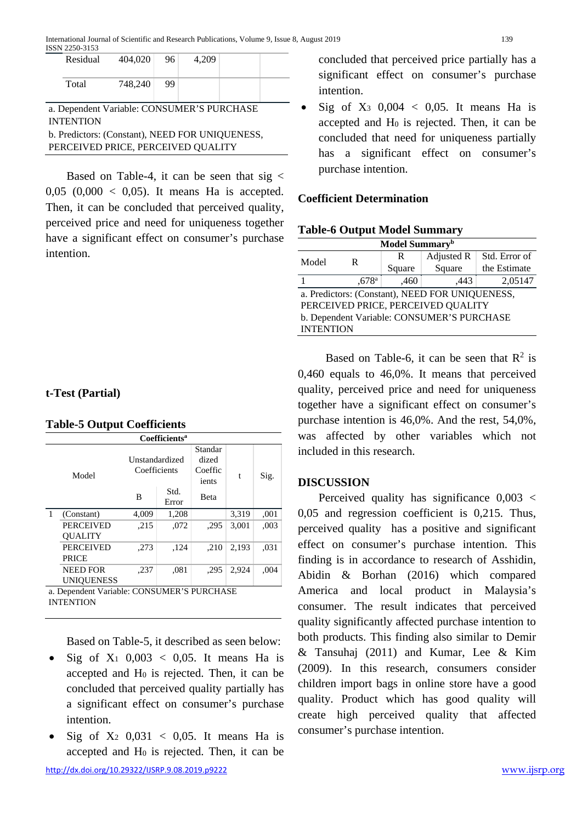|                                                         | Residual                                                                              | 404.020 | - 96 | 4.209 |  |  |
|---------------------------------------------------------|---------------------------------------------------------------------------------------|---------|------|-------|--|--|
|                                                         | Total                                                                                 | 748,240 | 99   |       |  |  |
| a. Dependent Variable: CONSUMER'S PURCHASE<br>INTENTION |                                                                                       |         |      |       |  |  |
|                                                         | b. Predictors: (Constant), NEED FOR UNIQUENESS,<br>PERCEIVED PRICE, PERCEIVED QUALITY |         |      |       |  |  |

Based on Table-4, it can be seen that sig  $\lt$ 0,05 (0,000  $\leq$  0,05). It means Ha is accepted. Then, it can be concluded that perceived quality, perceived price and need for uniqueness together have a significant effect on consumer's purchase intention.

## **t-Test (Partial)**

INTENTION

| Coefficients <sup>a</sup>                  |                   |                                |               |                                      |       |      |  |
|--------------------------------------------|-------------------|--------------------------------|---------------|--------------------------------------|-------|------|--|
|                                            | Model             | Unstandardized<br>Coefficients |               | Standar<br>dized<br>Coeffic<br>ients | t     | Sig. |  |
|                                            |                   | B                              | Std.<br>Error | <b>B</b> eta                         |       |      |  |
| 1                                          | (Constant)        | 4.009                          | 1,208         |                                      | 3,319 | ,001 |  |
|                                            | <b>PERCEIVED</b>  | ,215                           | ,072          | ,295                                 | 3,001 | ,003 |  |
|                                            | <b>OUALITY</b>    |                                |               |                                      |       |      |  |
|                                            | <b>PERCEIVED</b>  | ,273                           | ,124          | ,210                                 | 2.193 | ,031 |  |
|                                            | <b>PRICE</b>      |                                |               |                                      |       |      |  |
|                                            | <b>NEED FOR</b>   | ,237                           | .081          | .295                                 | 2,924 | ,004 |  |
|                                            | <b>UNIQUENESS</b> |                                |               |                                      |       |      |  |
| a. Dependent Variable: CONSUMER'S PURCHASE |                   |                                |               |                                      |       |      |  |

# **Table-5 Output Coefficients**

Based on Table-5, it described as seen below:

- Sig of  $X_1$  0,003 < 0,05. It means Ha is accepted and H0 is rejected. Then, it can be concluded that perceived quality partially has a significant effect on consumer's purchase intention.
- Sig of  $X_2$  0,031 < 0,05. It means Ha is accepted and H0 is rejected. Then, it can be

concluded that perceived price partially has a significant effect on consumer's purchase intention.

Sig of  $X_3$  0,004 < 0,05. It means Ha is accepted and H0 is rejected. Then, it can be concluded that need for uniqueness partially has a significant effect on consumer's purchase intention.

## **Coefficient Determination**

**Table-6 Output Model Summary**

| Model Summary <sup>b</sup>                      |                     |        |            |               |  |  |
|-------------------------------------------------|---------------------|--------|------------|---------------|--|--|
| Model                                           | R                   | R      | Adjusted R | Std. Error of |  |  |
|                                                 |                     | Square | Square     | the Estimate  |  |  |
|                                                 | $,678$ <sup>a</sup> | ,460   | .443       | 2,05147       |  |  |
| a. Predictors: (Constant), NEED FOR UNIQUENESS, |                     |        |            |               |  |  |
| PERCEIVED PRICE, PERCEIVED QUALITY              |                     |        |            |               |  |  |
| b. Dependent Variable: CONSUMER'S PURCHASE      |                     |        |            |               |  |  |
| <b>INTENTION</b>                                |                     |        |            |               |  |  |

Based on Table-6, it can be seen that  $R^2$  is 0,460 equals to 46,0%. It means that perceived quality, perceived price and need for uniqueness together have a significant effect on consumer's purchase intention is 46,0%. And the rest, 54,0%, was affected by other variables which not included in this research.

## **DISCUSSION**

Perceived quality has significance 0,003 < 0,05 and regression coefficient is 0,215. Thus, perceived quality has a positive and significant effect on consumer's purchase intention. This finding is in accordance to research of Asshidin, Abidin & Borhan (2016) which compared America and local product in Malaysia's consumer. The result indicates that perceived quality significantly affected purchase intention to both products. This finding also similar to Demir & Tansuhaj (2011) and Kumar, Lee & Kim (2009). In this research, consumers consider children import bags in online store have a good quality. Product which has good quality will create high perceived quality that affected consumer's purchase intention.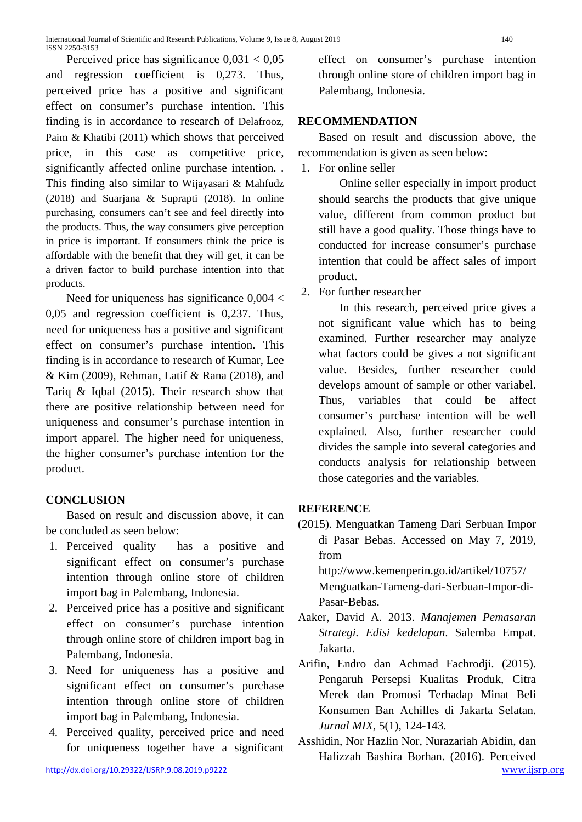Perceived price has significance  $0.031 < 0.05$ and regression coefficient is 0,273. Thus, perceived price has a positive and significant effect on consumer's purchase intention. This finding is in accordance to research of Delafrooz, Paim & Khatibi (2011) which shows that perceived price, in this case as competitive price, significantly affected online purchase intention. . This finding also similar to Wijayasari & Mahfudz (2018) and Suarjana & Suprapti (2018). In online purchasing, consumers can't see and feel directly into the products. Thus, the way consumers give perception in price is important. If consumers think the price is affordable with the benefit that they will get, it can be a driven factor to build purchase intention into that products.

Need for uniqueness has significance 0,004 < 0,05 and regression coefficient is 0,237. Thus, need for uniqueness has a positive and significant effect on consumer's purchase intention. This finding is in accordance to research of Kumar, Lee & Kim (2009), Rehman, Latif & Rana (2018), and Tariq & Iqbal (2015). Their research show that there are positive relationship between need for uniqueness and consumer's purchase intention in import apparel. The higher need for uniqueness, the higher consumer's purchase intention for the product.

# **CONCLUSION**

Based on result and discussion above, it can be concluded as seen below:

- 1. Perceived quality has a positive and significant effect on consumer's purchase intention through online store of children import bag in Palembang, Indonesia.
- 2. Perceived price has a positive and significant effect on consumer's purchase intention through online store of children import bag in Palembang, Indonesia.
- 3. Need for uniqueness has a positive and significant effect on consumer's purchase intention through online store of children import bag in Palembang, Indonesia.
- 4. Perceived quality, perceived price and need for uniqueness together have a significant

effect on consumer's purchase intention through online store of children import bag in Palembang, Indonesia.

# **RECOMMENDATION**

Based on result and discussion above, the recommendation is given as seen below:

1. For online seller

Online seller especially in import product should searchs the products that give unique value, different from common product but still have a good quality. Those things have to conducted for increase consumer's purchase intention that could be affect sales of import product.

2. For further researcher

In this research, perceived price gives a not significant value which has to being examined. Further researcher may analyze what factors could be gives a not significant value. Besides, further researcher could develops amount of sample or other variabel. Thus, variables that could be affect consumer's purchase intention will be well explained. Also, further researcher could divides the sample into several categories and conducts analysis for relationship between those categories and the variables.

# **REFERENCE**

(2015). Menguatkan Tameng Dari Serbuan Impor di Pasar Bebas. Accessed on May 7, 2019, from

[http://www.kemenperin.go.id/artikel/10757/](http://www.kemenperin.go.id/artikel/10757/Menguatkan-Tameng-dari-Serbuan-Impor-di-Pasar-Bebas) [Menguatkan-Tameng-dari-Serbuan-Impor-di-](http://www.kemenperin.go.id/artikel/10757/Menguatkan-Tameng-dari-Serbuan-Impor-di-Pasar-Bebas)[Pasar-Bebas.](http://www.kemenperin.go.id/artikel/10757/Menguatkan-Tameng-dari-Serbuan-Impor-di-Pasar-Bebas)

- Aaker, David A. 2013. *Manajemen Pemasaran Strategi. Edisi kedelapan*. Salemba Empat. Jakarta.
- Arifin, Endro dan Achmad Fachrodji. (2015). Pengaruh Persepsi Kualitas Produk, Citra Merek dan Promosi Terhadap Minat Beli Konsumen Ban Achilles di Jakarta Selatan. *Jurnal MIX*, 5(1), 124-143.

Asshidin, Nor Hazlin Nor, Nurazariah Abidin, dan Hafizzah Bashira Borhan. (2016). Perceived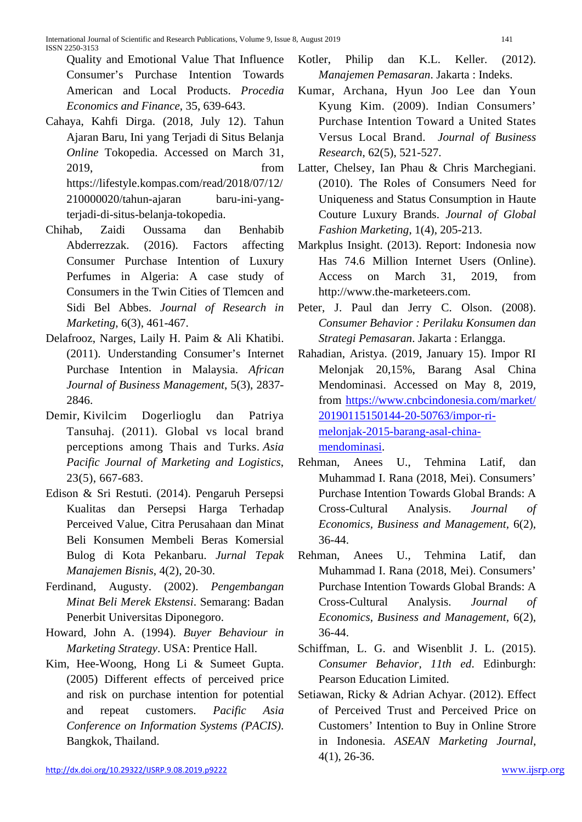Quality and Emotional Value That Influence Consumer's Purchase Intention Towards American and Local Products. *Procedia Economics and Finance*, 35, 639-643.

- Cahaya, Kahfi Dirga. (2018, July 12). Tahun Ajaran Baru, Ini yang Terjadi di Situs Belanja *Online* Tokopedia. Accessed on March 31, 2019, from [https://lifestyle.kompas.com/read/2018/07/12/](https://lifestyle.kompas.com/read/2018/07/12/210000020/tahun-ajaran%20baru-ini-yang-terjadi-di-situs-belanja-tokopedia) [210000020/tahun-ajaran baru-ini-yang](https://lifestyle.kompas.com/read/2018/07/12/210000020/tahun-ajaran%20baru-ini-yang-terjadi-di-situs-belanja-tokopedia)[terjadi-di-situs-belanja-tokopedia.](https://lifestyle.kompas.com/read/2018/07/12/210000020/tahun-ajaran%20baru-ini-yang-terjadi-di-situs-belanja-tokopedia)
- Chihab, Zaidi Oussama dan Benhabib Abderrezzak. (2016). Factors affecting Consumer Purchase Intention of Luxury Perfumes in Algeria: A case study of Consumers in the Twin Cities of Tlemcen and Sidi Bel Abbes. *Journal of Research in Marketing*, 6(3), 461-467.
- Delafrooz, Narges, Laily H. Paim & Ali Khatibi. (2011). Understanding Consumer's Internet Purchase Intention in Malaysia. *African Journal of Business Management*, 5(3), 2837- 2846.
- [Demir,](https://www.emeraldinsight.com/author/Dogerlioglu-Demir%2C+Kivilcim) Kivilcim Dogerlioglu dan [Patriya](https://www.emeraldinsight.com/author/Tansuhaj%2C+Patriya)  [Tansuhaj.](https://www.emeraldinsight.com/author/Tansuhaj%2C+Patriya) (2011). Global vs local brand perceptions among Thais and Turks. *Asia Pacific Journal of Marketing and Logistics*, 23(5), 667-683.
- Edison & Sri Restuti. (2014). Pengaruh Persepsi Kualitas dan Persepsi Harga Terhadap Perceived Value, Citra Perusahaan dan Minat Beli Konsumen Membeli Beras Komersial Bulog di Kota Pekanbaru. *Jurnal Tepak Manajemen Bisnis*, 4(2), 20-30.
- Ferdinand, Augusty. (2002). *Pengembangan Minat Beli Merek Ekstensi*. Semarang: Badan Penerbit Universitas Diponegoro.
- Howard, John A. (1994). *Buyer Behaviour in Marketing Strategy*. USA: Prentice Hall.
- Kim, Hee-Woong, Hong Li & Sumeet Gupta. (2005) Different effects of perceived price and risk on purchase intention for potential and repeat customers. *Pacific Asia Conference on Information Systems (PACIS)*. Bangkok, Thailand.
- Kotler, Philip dan K.L. Keller. (2012). *Manajemen Pemasaran*. Jakarta : Indeks.
- Kumar, Archana, Hyun Joo Lee dan Youn Kyung Kim. (2009). Indian Consumers' Purchase Intention Toward a United States Versus Local Brand. *Journal of [Business](https://www.researchgate.net/journal/0148-2963_Journal_of_Business_Research) [Research](https://www.researchgate.net/journal/0148-2963_Journal_of_Business_Research)*, 62(5), 521-527.
- Latter, Chelsey, Ian Phau & Chris Marchegiani. (2010). The Roles of Consumers Need for Uniqueness and Status Consumption in Haute Couture Luxury Brands. *Journal of Global Fashion Marketing*, 1(4), 205-213.
- Markplus Insight. (2013). Report: Indonesia now Has 74.6 Million Internet Users (Online). Access on March 31, 2019, from [http://www.the-marketeers.com.](http://www.the-marketeers.com/)
- Peter, J. Paul dan Jerry C. Olson. (2008). *Consumer Behavior : Perilaku Konsumen dan Strategi Pemasaran*. Jakarta : Erlangga.
- Rahadian, Aristya. (2019, January 15). Impor RI Melonjak 20,15%, Barang Asal China Mendominasi. Accessed on May 8, 2019, from [https://www.cnbcindonesia.com/market/](https://www.cnbcindonesia.com/market/%2020190115150144-20-50763/impor-ri-melonjak-2015-barang-asal-china-mendominasi)  [20190115150144-20-50763/impor-ri](https://www.cnbcindonesia.com/market/%2020190115150144-20-50763/impor-ri-melonjak-2015-barang-asal-china-mendominasi)[melonjak-2015-barang-asal-china](https://www.cnbcindonesia.com/market/%2020190115150144-20-50763/impor-ri-melonjak-2015-barang-asal-china-mendominasi)[mendominasi.](https://www.cnbcindonesia.com/market/%2020190115150144-20-50763/impor-ri-melonjak-2015-barang-asal-china-mendominasi)
- Rehman, Anees U., Tehmina Latif, dan Muhammad I. Rana (2018, Mei). Consumers' Purchase Intention Towards Global Brands: A Cross-Cultural Analysis. *Journal of Economics, Business and Management,* 6(2), 36-44.
- Rehman, Anees U., Tehmina Latif, dan Muhammad I. Rana (2018, Mei). Consumers' Purchase Intention Towards Global Brands: A Cross-Cultural Analysis. *Journal of Economics, Business and Management,* 6(2), 36-44.
- Schiffman, L. G. and Wisenblit J. L. (2015). *Consumer Behavior, 11th ed*. Edinburgh: Pearson Education Limited.
- Setiawan, Ricky & Adrian Achyar. (2012). Effect of Perceived Trust and Perceived Price on Customers' Intention to Buy in Online Strore in Indonesia. *ASEAN Marketing Journal*, 4(1), 26-36.